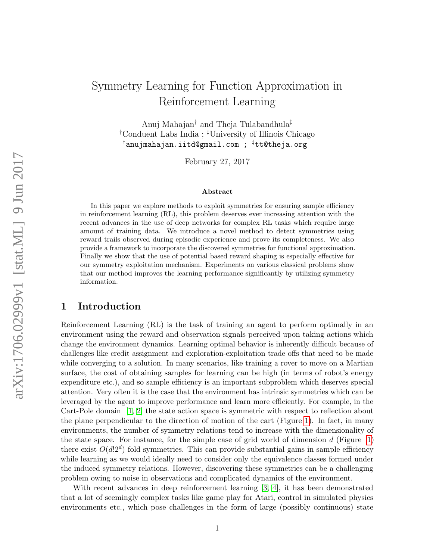# Symmetry Learning for Function Approximation in Reinforcement Learning

Anuj Mahajan† and Theja Tulabandhula‡ †Conduent Labs India ; ‡University of Illinois Chicago †anujmahajan.iitd@gmail.com ; ‡tt@theja.org

February 27, 2017

#### Abstract

In this paper we explore methods to exploit symmetries for ensuring sample efficiency in reinforcement learning (RL), this problem deserves ever increasing attention with the recent advances in the use of deep networks for complex RL tasks which require large amount of training data. We introduce a novel method to detect symmetries using reward trails observed during episodic experience and prove its completeness. We also provide a framework to incorporate the discovered symmetries for functional approximation. Finally we show that the use of potential based reward shaping is especially effective for our symmetry exploitation mechanism. Experiments on various classical problems show that our method improves the learning performance significantly by utilizing symmetry information.

### 1 Introduction

Reinforcement Learning (RL) is the task of training an agent to perform optimally in an environment using the reward and observation signals perceived upon taking actions which change the environment dynamics. Learning optimal behavior is inherently difficult because of challenges like credit assignment and exploration-exploitation trade offs that need to be made while converging to a solution. In many scenarios, like training a rover to move on a Martian surface, the cost of obtaining samples for learning can be high (in terms of robot's energy expenditure etc.), and so sample efficiency is an important subproblem which deserves special attention. Very often it is the case that the environment has intrinsic symmetries which can be leveraged by the agent to improve performance and learn more efficiently. For example, in the Cart-Pole domain [\[1,](#page-9-0) [2\]](#page-9-1) the state action space is symmetric with respect to reflection about the plane perpendicular to the direction of motion of the cart (Figure [1\)](#page-1-0). In fact, in many environments, the number of symmetry relations tend to increase with the dimensionality of the state space. For instance, for the simple case of grid world of dimension  $d$  (Figure [1\)](#page-1-0) there exist  $O(d!2^d)$  fold symmetries. This can provide substantial gains in sample efficiency while learning as we would ideally need to consider only the equivalence classes formed under the induced symmetry relations. However, discovering these symmetries can be a challenging problem owing to noise in observations and complicated dynamics of the environment.

With recent advances in deep reinforcement learning [\[3,](#page-10-0) [4\]](#page-10-1), it has been demonstrated that a lot of seemingly complex tasks like game play for Atari, control in simulated physics environments etc., which pose challenges in the form of large (possibly continuous) state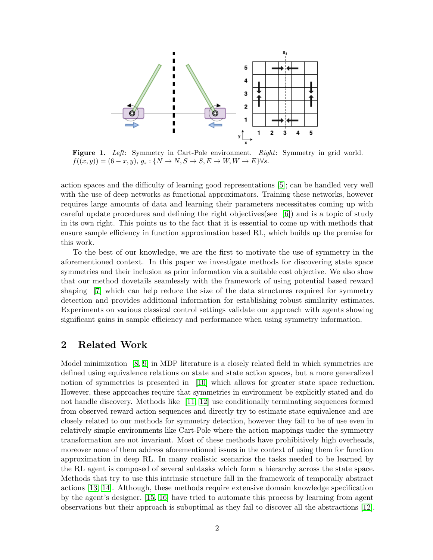<span id="page-1-0"></span>

Figure 1. Left: Symmetry in Cart-Pole environment. Right: Symmetry in grid world.  $f((x,y)) = (6-x, y), g_s: \{N \to N, S \to S, E \to W, W \to E\} \forall s.$ 

action spaces and the difficulty of learning good representations [\[5\]](#page-10-2); can be handled very well with the use of deep networks as functional approximators. Training these networks, however requires large amounts of data and learning their parameters necessitates coming up with careful update procedures and defining the right objectives(see [\[6\]](#page-10-3)) and is a topic of study in its own right. This points us to the fact that it is essential to come up with methods that ensure sample efficiency in function approximation based RL, which builds up the premise for this work.

To the best of our knowledge, we are the first to motivate the use of symmetry in the aforementioned context. In this paper we investigate methods for discovering state space symmetries and their inclusion as prior information via a suitable cost objective. We also show that our method dovetails seamlessly with the framework of using potential based reward shaping [\[7\]](#page-10-4) which can help reduce the size of the data structures required for symmetry detection and provides additional information for establishing robust similarity estimates. Experiments on various classical control settings validate our approach with agents showing significant gains in sample efficiency and performance when using symmetry information.

#### 2 Related Work

Model minimization [\[8,](#page-10-5) [9\]](#page-10-6) in MDP literature is a closely related field in which symmetries are defined using equivalence relations on state and state action spaces, but a more generalized notion of symmetries is presented in [\[10\]](#page-10-7) which allows for greater state space reduction. However, these approaches require that symmetries in environment be explicitly stated and do not handle discovery. Methods like [\[11,](#page-10-8) [12\]](#page-10-9) use conditionally terminating sequences formed from observed reward action sequences and directly try to estimate state equivalence and are closely related to our methods for symmetry detection, however they fail to be of use even in relatively simple environments like Cart-Pole where the action mappings under the symmetry transformation are not invariant. Most of these methods have prohibitively high overheads, moreover none of them address aforementioned issues in the context of using them for function approximation in deep RL. In many realistic scenarios the tasks needed to be learned by the RL agent is composed of several subtasks which form a hierarchy across the state space. Methods that try to use this intrinsic structure fall in the framework of temporally abstract actions [\[13,](#page-10-10) [14\]](#page-10-11). Although, these methods require extensive domain knowledge specification by the agent's designer. [\[15,](#page-10-12) [16\]](#page-10-13) have tried to automate this process by learning from agent observations but their approach is suboptimal as they fail to discover all the abstractions [\[12\]](#page-10-9).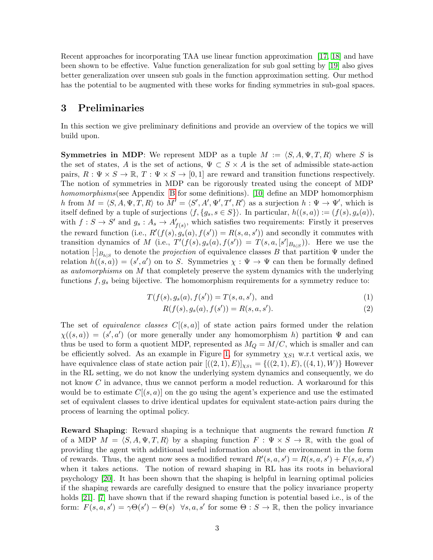Recent approaches for incorporating TAA use linear function approximation [\[17,](#page-10-14) [18\]](#page-11-0) and have been shown to be effective. Value function generalization for sub goal setting by [\[19\]](#page-11-1) also gives better generalization over unseen sub goals in the function approximation setting. Our method has the potential to be augmented with these works for finding symmetries in sub-goal spaces.

# 3 Preliminaries

In this section we give preliminary definitions and provide an overview of the topics we will build upon.

**Symmetries in MDP:** We represent MDP as a tuple  $M := \langle S, A, \Psi, T, R \rangle$  where S is the set of states, A is the set of actions,  $\Psi \subset S \times A$  is the set of admissible state-action pairs,  $R: \Psi \times S \to \mathbb{R}, T: \Psi \times S \to [0, 1]$  are reward and transition functions respectively. The notion of symmetries in MDP can be rigorously treated using the concept of MDP homomorphisms (see Appendix [B](#page-9-2) for some definitions). [\[10\]](#page-10-7) define an MDP homomorphism h from  $M = \langle S, A, \Psi, T, R \rangle$  to  $M' = \langle S', A', \Psi', T', R' \rangle$  as a surjection  $h : \Psi \to \Psi'$ , which is itself defined by a tuple of surjections  $\langle f, \{g_s, s \in S\}\rangle$ . In particular,  $h((s, a)) := (f(s), g_s(a)),$ with  $f: S \to S'$  and  $g_s: A_s \to A'_{f(s)}$ , which satisfies two requirements: Firstly it preserves the reward function (i.e.,  $R'(f(s), g_s(a), f(s')) = R(s, a, s')$ ) and secondly it commutes with transition dynamics of M (i.e.,  $T'(f(s), g_s(a), f(s')) = T(s, a, [s']_{B_{h|S}})$ ). Here we use the notation  $[\cdot]_{B_{h|S}}$  to denote the *projection* of equivalence classes B that partition  $\Psi$  under the relation  $h((s,a)) = (s', a')$  on to S. Symmetries  $\chi : \Psi \to \Psi$  can then be formally defined as automorphisms on M that completely preserve the system dynamics with the underlying functions  $f, g_s$  being bijective. The homomorphism requirements for a symmetry reduce to:

<span id="page-2-0"></span>
$$
T(f(s), g_s(a), f(s')) = T(s, a, s'), \text{ and } (1)
$$

$$
R(f(s), g_s(a), f(s')) = R(s, a, s').
$$
\n(2)

The set of *equivalence classes*  $C[(s, a)]$  of state action pairs formed under the relation  $\chi((s,a)) = (s',a')$  (or more generally under any homomorphism h) partition  $\Psi$  and can thus be used to form a quotient MDP, represented as  $M_Q = M/C$ , which is smaller and can be efficiently solved. As an example in Figure [1,](#page-1-0) for symmetry  $\chi_{S1}$  w.r.t vertical axis, we have equivalence class of state action pair  $[((2,1), E)]_{\chi_{S1}} = {((2,1), E), ((4,1), W)}$  However in the RL setting, we do not know the underlying system dynamics and consequently, we do not know C in advance, thus we cannot perform a model reduction. A workaround for this would be to estimate  $C[(s, a)]$  on the go using the agent's experience and use the estimated set of equivalent classes to drive identical updates for equivalent state-action pairs during the process of learning the optimal policy.

**Reward Shaping:** Reward shaping is a technique that augments the reward function  $R$ of a MDP  $M = \langle S, A, \Psi, T, R \rangle$  by a shaping function  $F : \Psi \times S \to \mathbb{R}$ , with the goal of providing the agent with additional useful information about the environment in the form of rewards. Thus, the agent now sees a modified reward  $R'(s, a, s') = R(s, a, s') + F(s, a, s')$ when it takes actions. The notion of reward shaping in RL has its roots in behavioral psychology [\[20\]](#page-11-2). It has been shown that the shaping is helpful in learning optimal policies if the shaping rewards are carefully designed to ensure that the policy invariance property holds [\[21\]](#page-11-3). [\[7\]](#page-10-4) have shown that if the reward shaping function is potential based i.e., is of the form:  $F(s, a, s') = \gamma \Theta(s') - \Theta(s)$   $\forall s, a, s'$  for some  $\Theta : S \to \mathbb{R}$ , then the policy invariance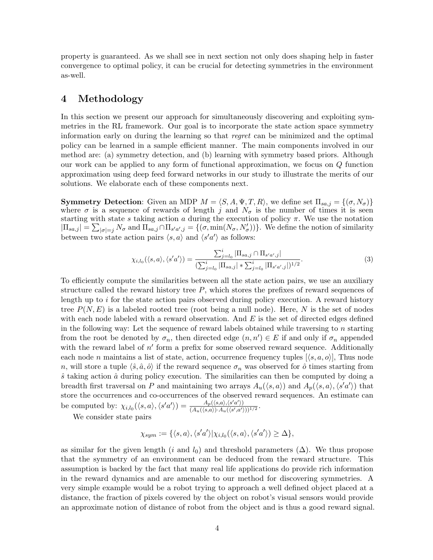property is guaranteed. As we shall see in next section not only does shaping help in faster convergence to optimal policy, it can be crucial for detecting symmetries in the environment as-well.

# 4 Methodology

In this section we present our approach for simultaneously discovering and exploiting symmetries in the RL framework. Our goal is to incorporate the state action space symmetry information early on during the learning so that regret can be minimized and the optimal policy can be learned in a sample efficient manner. The main components involved in our method are: (a) symmetry detection, and (b) learning with symmetry based priors. Although our work can be applied to any form of functional approximation, we focus on Q function approximation using deep feed forward networks in our study to illustrate the merits of our solutions. We elaborate each of these components next.

**Symmetry Detection:** Given an MDP  $M = \langle S, A, \Psi, T, R \rangle$ , we define set  $\Pi_{sa,j} = \{(\sigma, N_{\sigma})\}$ where  $\sigma$  is a sequence of rewards of length j and  $N_{\sigma}$  is the number of times it is seen starting with state s taking action a during the execution of policy  $\pi$ . We use the notation  $|\Pi_{sa,j}| = \sum_{|\sigma|=j} N_{\sigma}$  and  $\Pi_{sa,j} \cap \Pi_{s'a',j} = \{(\sigma, \min(N_{\sigma}, N_{\sigma}'))\}$ . We define the notion of similarity between two state action pairs  $\langle s, a \rangle$  and  $\langle s' a' \rangle$  as follows:

<span id="page-3-0"></span>
$$
\chi_{i,l_0}(\langle s,a \rangle, \langle s'a' \rangle) = \frac{\sum_{j=l_0}^i |\Pi_{sa,j} \cap \Pi_{s'a',j}|}{\left(\sum_{j=l_0}^i |\Pi_{sa,j}| * \sum_{j=l_0}^i |\Pi_{s'a',j}| \right)^{1/2}}.
$$
\n(3)

To efficiently compute the similarities between all the state action pairs, we use an auxiliary structure called the reward history tree  $P$ , which stores the prefixes of reward sequences of length up to  $i$  for the state action pairs observed during policy execution. A reward history tree  $P(N, E)$  is a labeled rooted tree (root being a null node). Here, N is the set of nodes with each node labeled with a reward observation. And  $E$  is the set of directed edges defined in the following way: Let the sequence of reward labels obtained while traversing to  $n$  starting from the root be denoted by  $\sigma_n$ , then directed edge  $(n, n') \in E$  if and only if  $\sigma_n$  appended with the reward label of  $n'$  form a prefix for some observed reward sequence. Additionally each node n maintains a list of state, action, occurrence frequency tuples  $(\langle s, a, o \rangle)$ , Thus node n, will store a tuple  $\langle \hat{s}, \hat{a}, \hat{o} \rangle$  if the reward sequence  $\sigma_n$  was observed for  $\hat{o}$  times starting from  $\hat{s}$  taking action  $\hat{a}$  during policy execution. The similarities can then be computed by doing a breadth first traversal on P and maintaining two arrays  $A_u(\langle s, a \rangle)$  and  $A_p(\langle s, a \rangle, \langle s' a' \rangle)$  that store the occurrences and co-occurrences of the observed reward sequences. An estimate can be computed by:  $\chi_{i,l_0}(\langle s,a \rangle, \langle s'a' \rangle) = \frac{A_p(\langle s,a \rangle, \langle s'a' \rangle)}{(A_p(\langle s,a \rangle) \cdot A_p(\langle s'a' \rangle))}$  $\frac{A_p(\langle s,a \rangle, \langle s,a \rangle)}{(A_u(\langle s,a \rangle) \cdot A_u(\langle s',a' \rangle))^{1/2}}.$ 

We consider state pairs

$$
\chi_{sym}:=\{\langle s,a\rangle,\langle s'a'\rangle|\chi_{i,l_0}(\langle s,a\rangle,\langle s'a'\rangle)\geq \Delta\},
$$

as similar for the given length (i and  $l_0$ ) and threshold parameters ( $\Delta$ ). We thus propose that the symmetry of an environment can be deduced from the reward structure. This assumption is backed by the fact that many real life applications do provide rich information in the reward dynamics and are amenable to our method for discovering symmetries. A very simple example would be a robot trying to approach a well defined object placed at a distance, the fraction of pixels covered by the object on robot's visual sensors would provide an approximate notion of distance of robot from the object and is thus a good reward signal.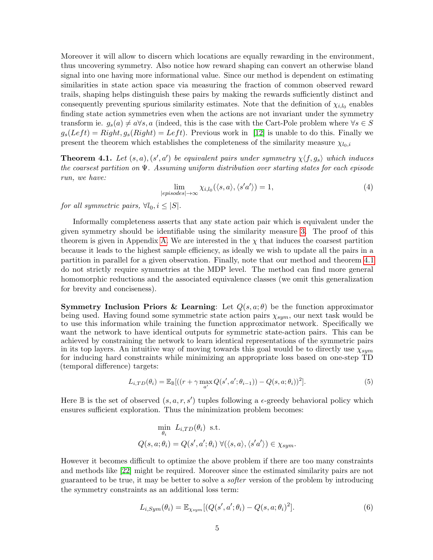Moreover it will allow to discern which locations are equally rewarding in the environment, thus uncovering symmetry. Also notice how reward shaping can convert an otherwise bland signal into one having more informational value. Since our method is dependent on estimating similarities in state action space via measuring the fraction of common observed reward trails, shaping helps distinguish these pairs by making the rewards sufficiently distinct and consequently preventing spurious similarity estimates. Note that the definition of  $\chi_{i,l_0}$  enables finding state action symmetries even when the actions are not invariant under the symmetry transform ie.  $g_s(a) \neq a \forall s, a$  (indeed, this is the case with the Cart-Pole problem where  $\forall s \in S$  $g_s(Left) = Right, g_s(Right) = Left$ . Previous work in [\[12\]](#page-10-9) is unable to do this. Finally we present the theorem which establishes the completeness of the similarity measure  $\chi_{0,i}$ 

<span id="page-4-0"></span>**Theorem 4.1.** Let  $(s, a)$ ,  $(s', a')$  be equivalent pairs under symmetry  $\chi \langle f, g_s \rangle$  which induces the coarsest partition on  $\Psi$ . Assuming uniform distribution over starting states for each episode run, we have:

$$
\lim_{|episodes| \to \infty} \chi_{i,l_0}(\langle s, a \rangle, \langle s' a' \rangle) = 1,
$$
\n(4)

for all symmetric pairs,  $\forall l_0, i \leq |S|$ .

Informally completeness asserts that any state action pair which is equivalent under the given symmetry should be identifiable using the similarity measure [3.](#page-3-0) The proof of this theorem is given in Appendix [A.](#page-9-3) We are interested in the  $\chi$  that induces the coarsest partition because it leads to the highest sample efficiency, as ideally we wish to update all the pairs in a partition in parallel for a given observation. Finally, note that our method and theorem [4.1](#page-4-0) do not strictly require symmetries at the MDP level. The method can find more general homomorphic reductions and the associated equivalence classes (we omit this generalization for brevity and conciseness).

Symmetry Inclusion Priors & Learning: Let  $Q(s, a; \theta)$  be the function approximator being used. Having found some symmetric state action pairs  $\chi_{sym}$ , our next task would be to use this information while training the function approximator network. Specifically we want the network to have identical outputs for symmetric state-action pairs. This can be achieved by constraining the network to learn identical representations of the symmetric pairs in its top layers. An intuitive way of moving towards this goal would be to directly use  $\chi_{sym}$ for inducing hard constraints while minimizing an appropriate loss based on one-step TD (temporal difference) targets:

$$
L_{i,TD}(\theta_i) = \mathbb{E}_{\mathbb{B}}[(r + \gamma \max_{a'} Q(s', a'; \theta_{i-1})) - Q(s, a; \theta_i))^2].
$$
\n(5)

Here  $\mathbb B$  is the set of observed  $(s, a, r, s')$  tuples following a  $\epsilon$ -greedy behavioral policy which ensures sufficient exploration. Thus the minimization problem becomes:

$$
\min_{\theta_i} L_{i,TD}(\theta_i) \text{ s.t.}
$$
  

$$
Q(s, a; \theta_i) = Q(s', a'; \theta_i) \ \forall (\langle s, a \rangle, \langle s' a' \rangle) \in \chi_{sym}.
$$

However it becomes difficult to optimize the above problem if there are too many constraints and methods like [\[22\]](#page-11-4) might be required. Moreover since the estimated similarity pairs are not guaranteed to be true, it may be better to solve a softer version of the problem by introducing the symmetry constraints as an additional loss term:

$$
L_{i,Sym}(\theta_i) = \mathbb{E}_{\chi_{sym}}[(Q(s', a'; \theta_i) - Q(s, a; \theta_i)^2].
$$
\n
$$
(6)
$$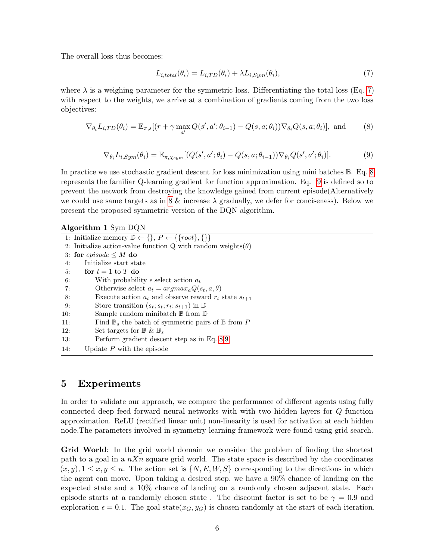The overall loss thus becomes:

<span id="page-5-2"></span><span id="page-5-1"></span><span id="page-5-0"></span>
$$
L_{i,total}(\theta_i) = L_{i,TD}(\theta_i) + \lambda L_{i,Sym}(\theta_i),
$$
\n(7)

where  $\lambda$  is a weighing parameter for the symmetric loss. Differentiating the total loss (Eq. [7\)](#page-5-0) with respect to the weights, we arrive at a combination of gradients coming from the two loss objectives:

$$
\nabla_{\theta_i} L_{i,TD}(\theta_i) = \mathbb{E}_{\pi,s}[(r + \gamma \max_{a'} Q(s', a'; \theta_{i-1}) - Q(s, a; \theta_i)) \nabla_{\theta_i} Q(s, a; \theta_i)], \text{ and } (8)
$$

$$
\nabla_{\theta_i} L_{i,Sym}(\theta_i) = \mathbb{E}_{\pi, \chi_{sym}}[(Q(s', a'; \theta_i) - Q(s, a; \theta_{i-1})) \nabla_{\theta_i} Q(s', a'; \theta_i)].
$$
\n(9)

In practice we use stochastic gradient descent for loss minimization using mini batches B. Eq. [8](#page-5-1) represents the familiar Q-learning gradient for function approximation. Eq. [9](#page-5-2) is defined so to prevent the network from destroying the knowledge gained from current episode(Alternatively we could use same targets as in [8](#page-5-1)  $\&$  increase  $\lambda$  gradually, we defer for conciseness). Below we present the proposed symmetric version of the DQN algorithm.

Algorithm 1 Sym DQN

<span id="page-5-3"></span>

|     | 1: Initialize memory $\mathbb{D} \leftarrow \{\}, P \leftarrow \{\{root\}, \{\}\}\$ |
|-----|-------------------------------------------------------------------------------------|
|     | 2. Initialize action-value function Q with random weights $(\theta)$                |
|     | 3: for episode $\leq M$ do                                                          |
| 4:  | Initialize start state                                                              |
| 5:  | for $t = 1$ to T do                                                                 |
| 6:  | With probability $\epsilon$ select action $a_t$                                     |
| 7:  | Otherwise select $a_t = argmax_a Q(s_t, a, \theta)$                                 |
| 8:  | Execute action $a_t$ and observe reward $r_t$ state $s_{t+1}$                       |
| 9:  | Store transition $(s_t; s_t; r_t; s_{t+1})$ in $\mathbb D$                          |
| 10: | Sample random minibatch $\mathbb B$ from $\mathbb D$                                |
| 11: | Find $\mathbb{B}_s$ the batch of symmetric pairs of $\mathbb{B}$ from P             |
| 12: | Set targets for $\mathbb{B} \& \mathbb{B}_s$                                        |
| 13: | Perform gradient descent step as in Eq. 8,9                                         |
| 14: | Update $P$ with the episode                                                         |

### 5 Experiments

In order to validate our approach, we compare the performance of different agents using fully connected deep feed forward neural networks with with two hidden layers for Q function approximation. ReLU (rectified linear unit) non-linearity is used for activation at each hidden node.The parameters involved in symmetry learning framework were found using grid search.

Grid World: In the grid world domain we consider the problem of finding the shortest path to a goal in a  $nXn$  square grid world. The state space is described by the coordinates  $(x, y), 1 \leq x, y \leq n$ . The action set is  $\{N, E, W, S\}$  corresponding to the directions in which the agent can move. Upon taking a desired step, we have a 90% chance of landing on the expected state and a 10% chance of landing on a randomly chosen adjacent state. Each episode starts at a randomly chosen state. The discount factor is set to be  $\gamma = 0.9$  and exploration  $\epsilon = 0.1$ . The goal state( $x_G, y_G$ ) is chosen randomly at the start of each iteration.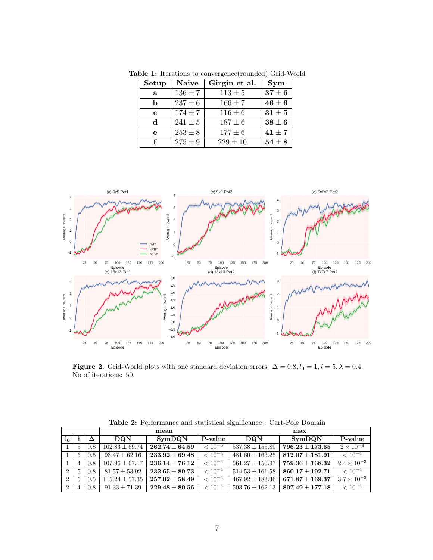| Setup        | <b>Naive</b> | Girgin et al. | Sym                          |  |
|--------------|--------------|---------------|------------------------------|--|
| a            | $136 \pm 7$  | $113 \pm 5$   | $37\pm6$                     |  |
| h            | $237 \pm 6$  | $166 \pm 7$   | ${\bf 46 \pm 6}$             |  |
| $\mathbf{c}$ | $174 \pm 7$  | $116 \pm 6$   | $31 \pm 5$                   |  |
| <sub>d</sub> | $241 \pm 5$  | $187 \pm 6$   | $\textbf{38} \pm \textbf{6}$ |  |
| e            | $253 \pm 8$  | $177 \pm 6$   | $41 \pm 7$                   |  |
| f            | $275 \pm 9$  | $229 \pm 10$  | $54\pm8$                     |  |

<span id="page-6-1"></span>Table 1: Iterations to convergence(rounded) Grid-World



Figure 2. Grid-World plots with one standard deviation errors.  $\Delta = 0.8, l_0 = 1, i = 5, \lambda = 0.4$ . No of iterations: 50.

<span id="page-6-2"></span>

|                |                |     | mean               |                    |             | max                 |                     |                      |
|----------------|----------------|-----|--------------------|--------------------|-------------|---------------------|---------------------|----------------------|
| 1 <sub>0</sub> |                | Δ   | <b>DON</b>         | SymDQN             | P-value     | <b>DON</b>          | SymDQN              | P-value              |
|                | 5              | 0.8 | $102.83 \pm 69.74$ | $262.74\pm64.59$   | $< 10^{-5}$ | $537.38 \pm 155.89$ | $796.23 \pm 173.65$ | $2 \times 10^{-4}$   |
|                | $5^{\circ}$    | 0.5 | $93.47 \pm 62.16$  | $233.92 \pm 69.48$ | $< 10^{-4}$ | $481.60 \pm 163.25$ | $812.07 \pm 181.91$ | $\sqrt{10^{-4}}$     |
|                | 4              | 0.8 | $107.96 + 67.17$   | $236.14\pm76.12$   | $< 10^{-4}$ | $561.27 \pm 156.97$ | $759.36 \pm 168.32$ | $2.4 \times 10^{-3}$ |
| $\overline{2}$ | $\frac{5}{2}$  | 0.8 | $81.57 \pm 53.92$  | $232.65\pm89.73$   | $< 10^{-4}$ | $514.53 \pm 161.58$ | $860.17 + 192.71$   | $< 10^{-4}$          |
| $\overline{2}$ | $\mathbf{5}$   | 0.5 | $115.24 \pm 57.35$ | $257.02 \pm 58.49$ | $< 10^{-4}$ | $467.92 \pm 183.36$ | $671.87 \pm 169.37$ | $3.7 \times 10^{-3}$ |
| $\overline{2}$ | $\overline{4}$ | 0.8 | $91.33 \pm 71.39$  | $229.48\pm80.56$   | $< 10^{-4}$ | $503.76 \pm 162.13$ | $807.49 \pm 177.18$ | $< 10^{-4}$          |

<span id="page-6-0"></span>Table 2: Performance and statistical significance : Cart-Pole Domain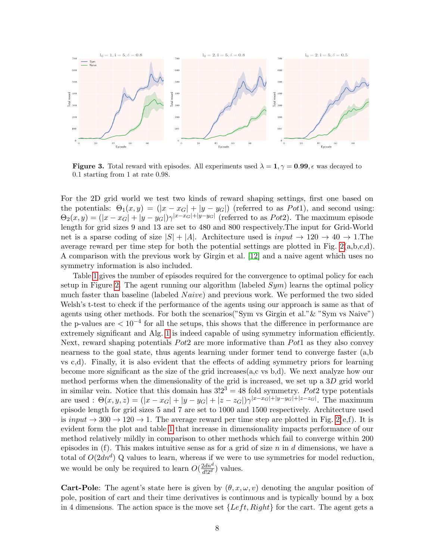

<span id="page-7-0"></span>**Figure 3.** Total reward with episodes. All experiments used  $\lambda = 1, \gamma = 0.99$ ,  $\epsilon$  was decayed to 0.1 starting from 1 at rate 0.98.

For the 2D grid world we test two kinds of reward shaping settings, first one based on the potentials:  $\Theta_1(x, y) = (|x - x_G| + |y - y_G|)$  (referred to as Pot1), and second using:  $\Theta_2(x,y) = (|x-x_G|+|y-y_G|)\gamma^{|x-x_G|+|y-y_G|}$  (referred to as *Pot*2). The maximum episode length for grid sizes 9 and 13 are set to 480 and 800 respectively.The input for Grid-World net is a sparse coding of size  $|S| + |A|$ . Architecture used is  $input \rightarrow 120 \rightarrow 40 \rightarrow 1$ . The average reward per time step for both the potential settings are plotted in Fig.  $2(a,b,c,d)$ . A comparison with the previous work by Girgin et al. [\[12\]](#page-10-9) and a naive agent which uses no symmetry information is also included.

Table [1](#page-6-1) gives the number of episodes required for the convergence to optimal policy for each setup in Figure [2.](#page-6-0) The agent running our algorithm (labeled  $Sym$ ) learns the optimal policy much faster than baseline (labeled  $Naive$ ) and previous work. We performed the two sided Welsh's t-test to check if the performance of the agents using our approach is same as that of agents using other methods. For both the scenarios("Sym vs Girgin et al."& "Sym vs Naive") the p-values are  $\lt 10^{-4}$  for all the setups, this shows that the difference in performance are extremely significant and Alg. [1](#page-5-3) is indeed capable of using symmetry information efficiently. Next, reward shaping potentials  $Pot2$  are more informative than  $Pot1$  as they also convey nearness to the goal state, thus agents learning under former tend to converge faster (a,b vs c,d). Finally, it is also evident that the effects of adding symmetry priors for learning become more significant as the size of the grid increases(a,c vs b,d). We next analyze how our method performs when the dimensionality of the grid is increased, we set up a 3D grid world in similar vein. Notice that this domain has  $3!2^3 = 48$  fold symmetry. Pot2 type potentials are used :  $\Theta(x, y, z) = (|x - x_G| + |y - y_G| + |z - z_G|)\gamma^{|x - x_G| + |y - y_G| + |z - z_G|}$ . The maximum episode length for grid sizes 5 and 7 are set to 1000 and 1500 respectively. Architecture used is input  $\rightarrow$  300  $\rightarrow$  120  $\rightarrow$  1. The average reward per time step are plotted in Fig. [2\(](#page-6-0)e,f). It is evident form the plot and table [1](#page-6-1) that increase in dimensionality impacts performance of our method relatively mildly in comparison to other methods which fail to converge within 200 episodes in (f). This makes intuitive sense as for a grid of size  $n$  in  $d$  dimensions, we have a total of  $O(2dn^d)$  Q values to learn, whereas if we were to use symmetries for model reduction, we would be only be required to learn  $O(\frac{2dn^d}{d!2^d})$  values.

**Cart-Pole**: The agent's state here is given by  $(\theta, x, \omega, v)$  denoting the angular position of pole, position of cart and their time derivatives is continuous and is typically bound by a box in 4 dimensions. The action space is the move set  $\{Left, Right\}$  for the cart. The agent gets a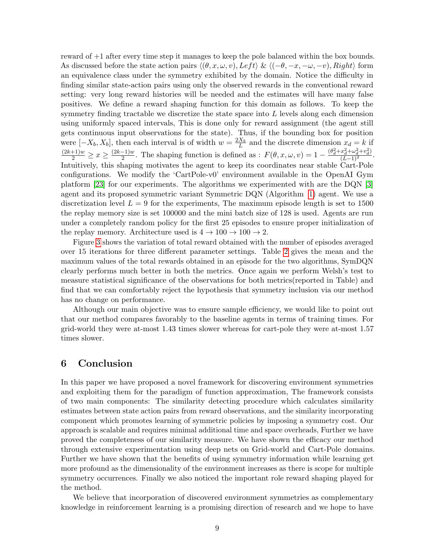reward of +1 after every time step it manages to keep the pole balanced within the box bounds. As discussed before the state action pairs  $\langle (\theta, x, \omega, v), \text{Left} \rangle \& \langle (-\theta, -x, -\omega, -v), \text{Right} \rangle$  form an equivalence class under the symmetry exhibited by the domain. Notice the difficulty in finding similar state-action pairs using only the observed rewards in the conventional reward setting: very long reward histories will be needed and the estimates will have many false positives. We define a reward shaping function for this domain as follows. To keep the symmetry finding tractable we discretize the state space into  $L$  levels along each dimension using uniformly spaced intervals, This is done only for reward assignment (the agent still gets continuous input observations for the state). Thus, if the bounding box for position were  $[-X_b, X_b]$ , then each interval is of width  $w = \frac{2X_b}{L}$  and the discrete dimension  $x_d = k$  if  $\frac{(2k+1)w}{2} \geq x \geq \frac{(2k-1)w}{2}$  $\frac{(-1)w}{2}$ . The shaping function is defined as :  $F(\theta, x, \omega, v) = 1 - \frac{(\theta_d^2 + x_d^2 + \omega_d^2 + v_d^2)}{(L-1)^2}$ . Intuitively, this shaping motivates the agent to keep its coordinates near stable Cart-Pole configurations. We modify the 'CartPole-v0' environment available in the OpenAI Gym platform [\[23\]](#page-11-5) for our experiments. The algorithms we experimented with are the DQN [\[3\]](#page-10-0) agent and its proposed symmetric variant Symmetric DQN (Algorithm [1\)](#page-5-3) agent. We use a discretization level  $L = 9$  for the experiments, The maximum episode length is set to 1500 the replay memory size is set 100000 and the mini batch size of 128 is used. Agents are run under a completely random policy for the first 25 episodes to ensure proper initialization of the replay memory. Architecture used is  $4 \rightarrow 100 \rightarrow 100 \rightarrow 2$ .

Figure [3](#page-7-0) shows the variation of total reward obtained with the number of episodes averaged over 15 iterations for three different parameter settings. Table [2](#page-6-2) gives the mean and the maximum values of the total rewards obtained in an episode for the two algorithms, SymDQN clearly performs much better in both the metrics. Once again we perform Welsh's test to measure statistical significance of the observations for both metrics(reported in Table) and find that we can comfortably reject the hypothesis that symmetry inclusion via our method has no change on performance.

Although our main objective was to ensure sample efficiency, we would like to point out that our method compares favorably to the baseline agents in terms of training times. For grid-world they were at-most 1.43 times slower whereas for cart-pole they were at-most 1.57 times slower.

#### 6 Conclusion

In this paper we have proposed a novel framework for discovering environment symmetries and exploiting them for the paradigm of function approximation, The framework consists of two main components: The similarity detecting procedure which calculates similarity estimates between state action pairs from reward observations, and the similarity incorporating component which promotes learning of symmetric policies by imposing a symmetry cost. Our approach is scalable and requires minimal additional time and space overheads, Further we have proved the completeness of our similarity measure. We have shown the efficacy our method through extensive experimentation using deep nets on Grid-world and Cart-Pole domains. Further we have shown that the benefits of using symmetry information while learning get more profound as the dimensionality of the environment increases as there is scope for multiple symmetry occurrences. Finally we also noticed the important role reward shaping played for the method.

We believe that incorporation of discovered environment symmetries as complementary knowledge in reinforcement learning is a promising direction of research and we hope to have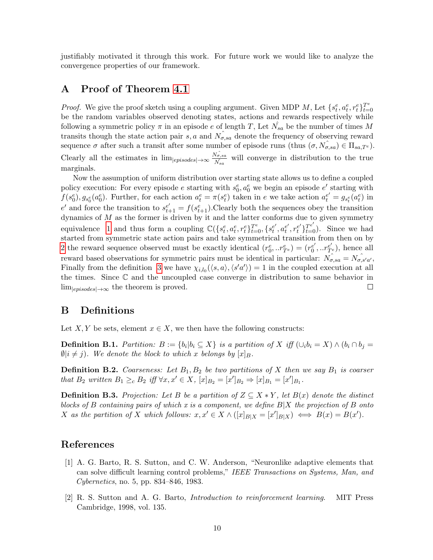justifiably motivated it through this work. For future work we would like to analyze the convergence properties of our framework.

### <span id="page-9-3"></span>A Proof of Theorem [4.1](#page-4-0)

*Proof.* We give the proof sketch using a coupling argument. Given MDP M, Let  $\{s_t^e, a_t^e, r_t^e\}_{t=1}^{T^e}$  $t=0$ be the random variables observed denoting states, actions and rewards respectively while following a symmetric policy  $\pi$  in an episode e of length T, Let  $\hat{N_{sa}}$  be the number of times M transits though the state action pair s, a and  $\hat{N_{\sigma,sa}}$  denote the frequency of observing reward sequence  $\sigma$  after such a transit after some number of episode runs (thus  $(\sigma, N_{\sigma,sa}) \in \Pi_{sa,T^e}$ ). Clearly all the estimates in  $\lim_{|episodes| \to \infty} \frac{N_{\sigma,sa}}{N}$  $\frac{\sqrt{\sigma}$ , sa will converge in distribution to the true marginals.

Now the assumption of uniform distribution over starting state allows us to define a coupled policy execution: For every episode e starting with  $s_0^e, a_0^e$  we begin an episode e' starting with  $f(s_0^e), g_{s_0^e}(a_0^e)$ . Further, for each action  $a_t^e = \pi(s_t^e)$  taken in e we take action  $a_t^{e'} = g_{s_t^e}(a_t^e)$  in e' and force the transition to  $s_{t+1}^{e'} = f(s_{t+1}^e)$ . Clearly both the sequences obey the transition dynamics of  $M$  as the former is driven by it and the latter conforms due to given symmetry equivalence [1](#page-2-0) and thus form a coupling  $\mathbb{C}(\{s_t^e, a_t^e, r_t^e\}_{t=0}^{T^e}, \{s_t^{e'}, a_t^{e'}, r_t^{e'}\}_{t=0}^{T^e})$ . Since we had started from symmetric state action pairs and take symmetrical transition from then on by [2](#page-2-0) the reward sequence observed must be exactly identical  $(r_0^e, . . r_{T^e}^e) = (r_0^{e'}$  $e'_{0}, . .r^{e'}_{T^{e}}$ , hence all reward based observations for symmetric pairs must be identical in particular:  $N_{\sigma,sa}^{\hat{}} = N_{\sigma,s'a'}^{\hat{}}$ Finally from the definition [3](#page-3-0) we have  $\chi_{i,l_0}(\langle s,a \rangle, \langle s'a' \rangle) = 1$  in the coupled execution at all the times. Since  $\mathbb C$  and the uncoupled case converge in distribution to same behavior in  $\lim_{|episodes| \to \infty}$  the theorem is proved.  $\Box$ 

### B Definitions

Let X, Y be sets, element  $x \in X$ , we then have the following constructs:

**Definition B.1.** Partition:  $B := \{b_i | b_i \subseteq X\}$  is a partition of X iff  $(\cup_i b_i = X) \wedge (b_i \cap b_j =$  $\emptyset|i \neq j$ ). We denote the block to which x belongs by  $[x]_B$ .

**Definition B.2.** Coarseness: Let  $B_1, B_2$  be two partitions of X then we say  $B_1$  is coarser that  $B_2$  written  $B_1 \geq_c B_2$  iff  $\forall x, x' \in X$ ,  $[x]_{B_2} = [x']_{B_2} \Rightarrow [x]_{B_1} = [x']_{B_1}$ .

<span id="page-9-2"></span>**Definition B.3.** Projection: Let B be a partition of  $Z \subseteq X * Y$ , let  $B(x)$  denote the distinct blocks of B containing pairs of which x is a component, we define  $B|X$  the projection of B onto X as the partition of X which follows:  $x, x' \in X \wedge ([x]_{B|X} = [x']_{B|X}) \iff B(x) = B(x')$ .

#### References

- <span id="page-9-0"></span>[1] A. G. Barto, R. S. Sutton, and C. W. Anderson, "Neuronlike adaptive elements that can solve difficult learning control problems," IEEE Transactions on Systems, Man, and Cybernetics, no. 5, pp. 834–846, 1983.
- <span id="page-9-1"></span>[2] R. S. Sutton and A. G. Barto, Introduction to reinforcement learning. MIT Press Cambridge, 1998, vol. 135.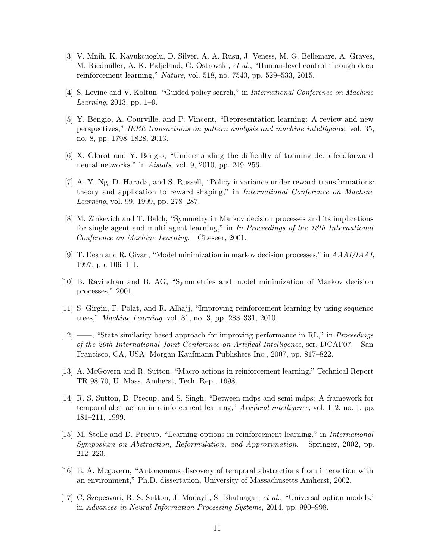- <span id="page-10-0"></span>[3] V. Mnih, K. Kavukcuoglu, D. Silver, A. A. Rusu, J. Veness, M. G. Bellemare, A. Graves, M. Riedmiller, A. K. Fidjeland, G. Ostrovski, et al., "Human-level control through deep reinforcement learning," Nature, vol. 518, no. 7540, pp. 529–533, 2015.
- <span id="page-10-1"></span>[4] S. Levine and V. Koltun, "Guided policy search," in International Conference on Machine Learning, 2013, pp. 1–9.
- <span id="page-10-2"></span>[5] Y. Bengio, A. Courville, and P. Vincent, "Representation learning: A review and new perspectives," IEEE transactions on pattern analysis and machine intelligence, vol. 35, no. 8, pp. 1798–1828, 2013.
- <span id="page-10-3"></span>[6] X. Glorot and Y. Bengio, "Understanding the difficulty of training deep feedforward neural networks." in Aistats, vol. 9, 2010, pp. 249–256.
- <span id="page-10-4"></span>[7] A. Y. Ng, D. Harada, and S. Russell, "Policy invariance under reward transformations: theory and application to reward shaping," in International Conference on Machine Learning, vol. 99, 1999, pp. 278–287.
- <span id="page-10-5"></span>[8] M. Zinkevich and T. Balch, "Symmetry in Markov decision processes and its implications for single agent and multi agent learning," in In Proceedings of the 18th International Conference on Machine Learning. Citeseer, 2001.
- <span id="page-10-6"></span>[9] T. Dean and R. Givan, "Model minimization in markov decision processes," in AAAI/IAAI, 1997, pp. 106–111.
- <span id="page-10-7"></span>[10] B. Ravindran and B. AG, "Symmetries and model minimization of Markov decision processes," 2001.
- <span id="page-10-8"></span>[11] S. Girgin, F. Polat, and R. Alhajj, "Improving reinforcement learning by using sequence trees," Machine Learning, vol. 81, no. 3, pp. 283–331, 2010.
- <span id="page-10-9"></span>[12] ——, "State similarity based approach for improving performance in RL," in Proceedings of the 20th International Joint Conference on Artifical Intelligence, ser. IJCAI'07. San Francisco, CA, USA: Morgan Kaufmann Publishers Inc., 2007, pp. 817–822.
- <span id="page-10-10"></span>[13] A. McGovern and R. Sutton, "Macro actions in reinforcement learning," Technical Report TR 98-70, U. Mass. Amherst, Tech. Rep., 1998.
- <span id="page-10-11"></span>[14] R. S. Sutton, D. Precup, and S. Singh, "Between mdps and semi-mdps: A framework for temporal abstraction in reinforcement learning," Artificial intelligence, vol. 112, no. 1, pp. 181–211, 1999.
- <span id="page-10-12"></span>[15] M. Stolle and D. Precup, "Learning options in reinforcement learning," in International Symposium on Abstraction, Reformulation, and Approximation. Springer, 2002, pp. 212–223.
- <span id="page-10-13"></span>[16] E. A. Mcgovern, "Autonomous discovery of temporal abstractions from interaction with an environment," Ph.D. dissertation, University of Massachusetts Amherst, 2002.
- <span id="page-10-14"></span>[17] C. Szepesvari, R. S. Sutton, J. Modayil, S. Bhatnagar, et al., "Universal option models," in Advances in Neural Information Processing Systems, 2014, pp. 990–998.